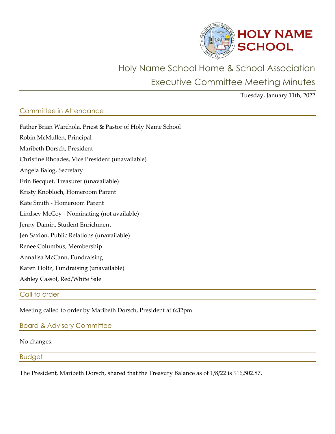

# Holy Name School Home & School Association Executive Committee Meeting Minutes

Tuesday, January 11th, 2022

## Committee in Attendance

| Father Brian Warchola, Priest & Pastor of Holy Name School |
|------------------------------------------------------------|
| Robin McMullen, Principal                                  |
| Maribeth Dorsch, President                                 |
| Christine Rhoades, Vice President (unavailable)            |
| Angela Balog, Secretary                                    |
| Erin Becquet, Treasurer (unavailable)                      |
| Kristy Knobloch, Homeroom Parent                           |
| Kate Smith - Homeroom Parent                               |
| Lindsey McCoy - Nominating (not available)                 |
| Jenny Damin, Student Enrichment                            |
| Jen Saxion, Public Relations (unavailable)                 |
| Renee Columbus, Membership                                 |
| Annalisa McCann, Fundraising                               |
| Karen Holtz, Fundraising (unavailable)                     |
| Ashley Cassol, Red/White Sale                              |
|                                                            |

## Call to order

Meeting called to order by Maribeth Dorsch, President at 6:32pm.

Board & Advisory Committee

#### No changes.

## Budget

The President, Maribeth Dorsch, shared that the Treasury Balance as of 1/8/22 is \$16,502.87.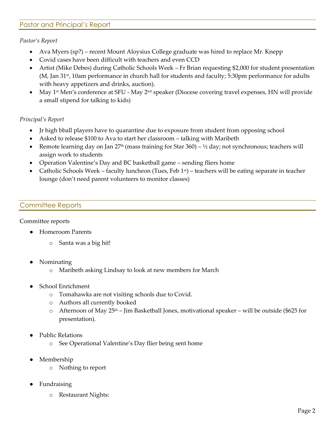## Pastor and Principal's Report

#### *Pastor's Report*

- Ava Myers (sp?) recent Mount Aloysius College graduate was hired to replace Mr. Knepp
- Covid cases have been difficult with teachers and even CCD
- Artist (Mike Debes) during Catholic Schools Week Fr Brian requesting \$2,000 for student presentation (M, Jan 31<sup>st</sup>, 10am performance in church hall for students and faculty; 5:30pm performance for adults with heavy appetizers and drinks, auction).
- May 1<sup>st</sup> Men's conference at SFU May 2<sup>nd</sup> speaker (Diocese covering travel expenses, HN will provide a small stipend for talking to kids)

#### *Principal's Report*

- Jr high bball players have to quarantine due to exposure from student from opposing school
- Asked to release \$100 to Ava to start her classroom talking with Maribeth
- Remote learning day on Jan 27<sup>th</sup> (mass training for Star 360)  $\frac{1}{2}$  day; not synchronous; teachers will assign work to students
- Operation Valentine's Day and BC basketball game sending fliers home
- Catholic Schools Week faculty luncheon (Tues, Feb  $1<sup>st</sup>$ ) teachers will be eating separate in teacher lounge (don't need parent volunteers to monitor classes)

## Committee Reports

#### Committee reports

- **Homeroom Parents** 
	- o Santa was a big hit!
- **Nominating** 
	- o Maribeth asking Lindsay to look at new members for March
- School Enrichment
	- o Tomahawks are not visiting schools due to Covid.
	- o Authors all currently booked
	- $\circ$  Afternoon of May 25<sup>th</sup> Jim Basketball Jones, motivational speaker will be outside (\$625 for presentation).
- Public Relations
	- o See Operational Valentine's Day flier being sent home
- Membership
	- o Nothing to report
- Fundraising
	- o Restaurant Nights: